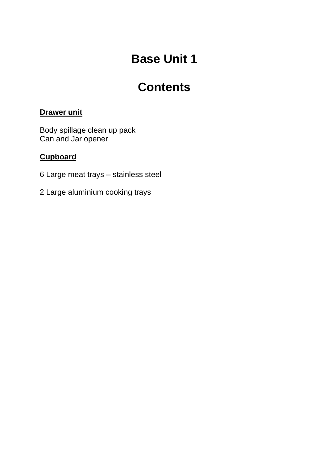# **Contents**

#### **Drawer unit**

Body spillage clean up pack Can and Jar opener

#### **Cupboard**

- 6 Large meat trays stainless steel
- 2 Large aluminium cooking trays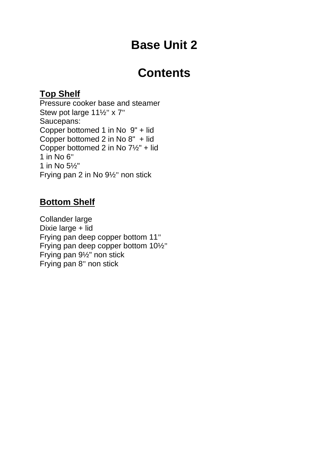### **Contents**

#### **Top Shelf**

Pressure cooker base and steamer Stew pot large 11½" x 7" Saucepans: Copper bottomed 1 in No 9" + lid Copper bottomed 2 in No 8" + lid Copper bottomed 2 in No 7½" + lid 1 in No 6" 1 in No 5½" Frying pan 2 in No 9½" non stick

#### **Bottom Shelf**

Collander large Dixie large + lid Frying pan deep copper bottom 11" Frying pan deep copper bottom 10½" Frying pan 9½" non stick Frying pan 8" non stick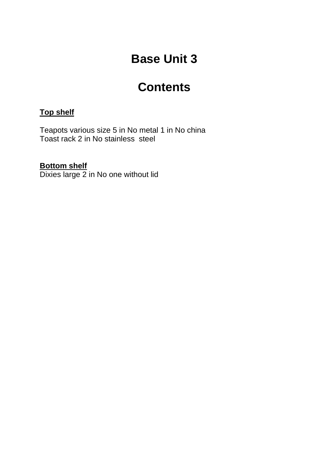# **Contents**

#### **Top shelf**

Teapots various size 5 in No metal 1 in No china Toast rack 2 in No stainless steel

#### **Bottom shelf**

Dixies large 2 in No one without lid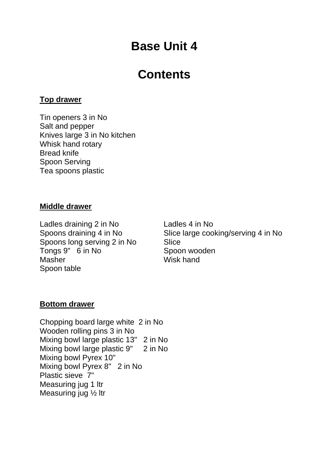### **Contents**

#### **Top drawer**

Tin openers 3 in No Salt and pepper Knives large 3 in No kitchen Whisk hand rotary Bread knife Spoon Serving Tea spoons plastic

#### **Middle drawer**

Ladles draining 2 in No Ladles 4 in No Spoons long serving 2 in No Slice Tongs 9" 6 in No Spoon wooden Masher Wisk hand Spoon table

Spoons draining 4 in No Slice large cooking/serving 4 in No

#### **Bottom drawer**

Chopping board large white 2 in No Wooden rolling pins 3 in No Mixing bowl large plastic 13" 2 in No Mixing bowl large plastic 9" 2 in No Mixing bowl Pyrex 10" Mixing bowl Pyrex 8" 2 in No Plastic sieve 7" Measuring jug 1 ltr Measuring jug ½ ltr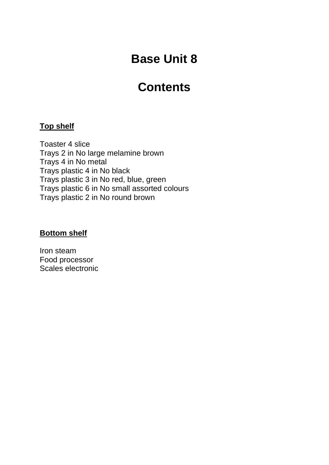### **Contents**

#### **Top shelf**

Toaster 4 slice Trays 2 in No large melamine brown Trays 4 in No metal Trays plastic 4 in No black Trays plastic 3 in No red, blue, green Trays plastic 6 in No small assorted colours Trays plastic 2 in No round brown

#### **Bottom shelf**

Iron steam Food processor Scales electronic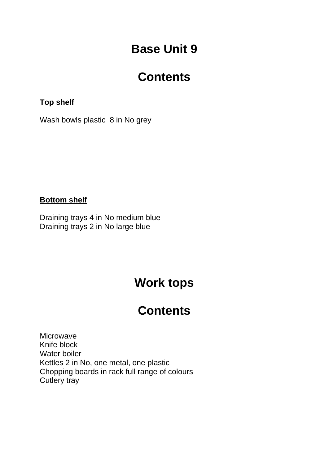# **Contents**

#### **Top shelf**

Wash bowls plastic 8 in No grey

#### **Bottom shelf**

Draining trays 4 in No medium blue Draining trays 2 in No large blue

# **Work tops**

# **Contents**

Microwave Knife block Water boiler Kettles 2 in No, one metal, one plastic Chopping boards in rack full range of colours Cutlery tray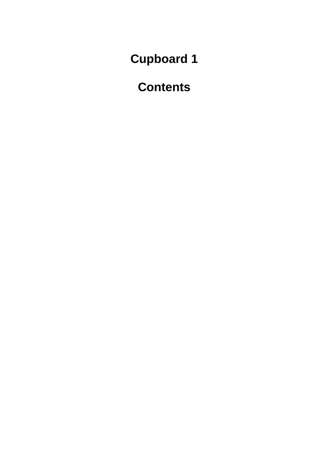**Contents**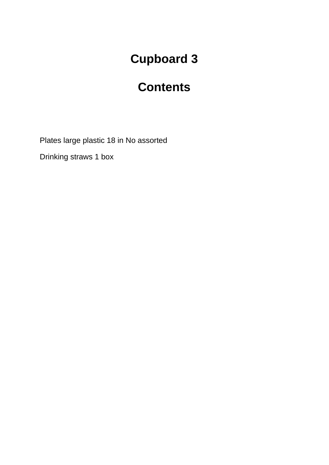# **Contents**

Plates large plastic 18 in No assorted

Drinking straws 1 box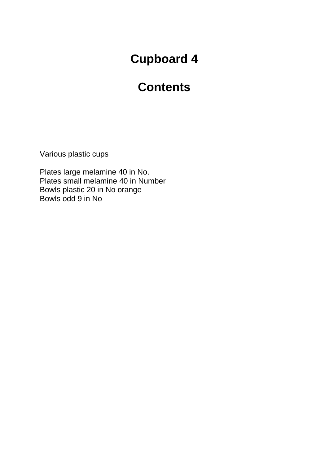## **Contents**

Various plastic cups

Plates large melamine 40 in No. Plates small melamine 40 in Number Bowls plastic 20 in No orange Bowls odd 9 in No